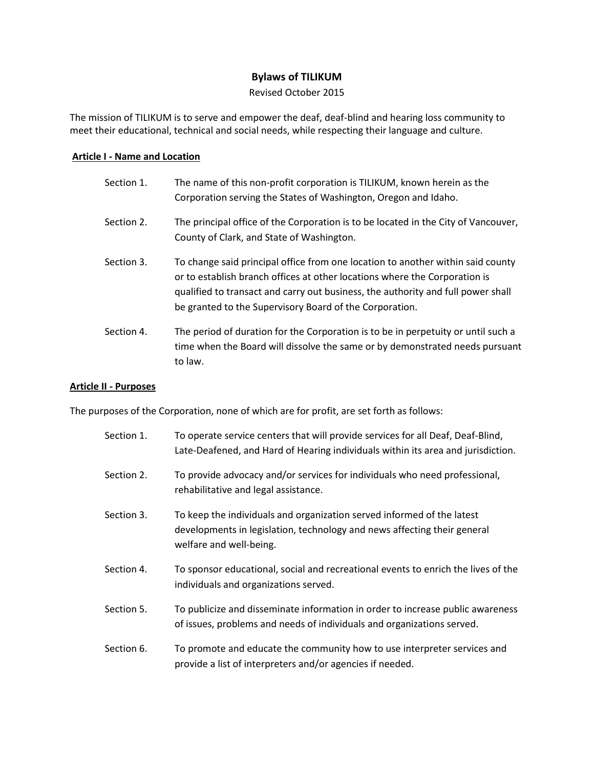# **Bylaws of TILIKUM**

Revised October 2015

The mission of TILIKUM is to serve and empower the deaf, deaf-blind and hearing loss community to meet their educational, technical and social needs, while respecting their language and culture.

# **Article I - Name and Location**

| Section 1. | The name of this non-profit corporation is TILIKUM, known herein as the<br>Corporation serving the States of Washington, Oregon and Idaho.                                                                                                                                                                   |
|------------|--------------------------------------------------------------------------------------------------------------------------------------------------------------------------------------------------------------------------------------------------------------------------------------------------------------|
| Section 2. | The principal office of the Corporation is to be located in the City of Vancouver,<br>County of Clark, and State of Washington.                                                                                                                                                                              |
| Section 3. | To change said principal office from one location to another within said county<br>or to establish branch offices at other locations where the Corporation is<br>qualified to transact and carry out business, the authority and full power shall<br>be granted to the Supervisory Board of the Corporation. |
| Section 4. | The period of duration for the Corporation is to be in perpetuity or until such a<br>time when the Board will dissolve the same or by demonstrated needs pursuant<br>to law.                                                                                                                                 |

### **Article II - Purposes**

The purposes of the Corporation, none of which are for profit, are set forth as follows:

| Section 1. | To operate service centers that will provide services for all Deaf, Deaf-Blind,<br>Late-Deafened, and Hard of Hearing individuals within its area and jurisdiction.           |
|------------|-------------------------------------------------------------------------------------------------------------------------------------------------------------------------------|
| Section 2. | To provide advocacy and/or services for individuals who need professional,<br>rehabilitative and legal assistance.                                                            |
| Section 3. | To keep the individuals and organization served informed of the latest<br>developments in legislation, technology and news affecting their general<br>welfare and well-being. |
| Section 4. | To sponsor educational, social and recreational events to enrich the lives of the<br>individuals and organizations served.                                                    |
| Section 5. | To publicize and disseminate information in order to increase public awareness<br>of issues, problems and needs of individuals and organizations served.                      |
| Section 6. | To promote and educate the community how to use interpreter services and<br>provide a list of interpreters and/or agencies if needed.                                         |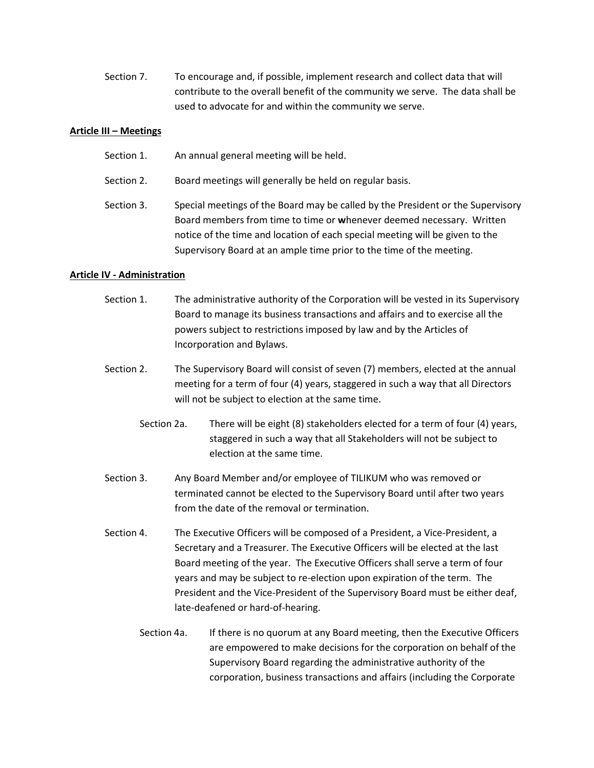Section 7. To encourage and, if possible, implement research and collect data that will contribute to the overall benefit of the community we serve. The data shall be used to advocate for and within the community we serve.

# **Article III – Meetings**

- Section 1. An annual general meeting will be held.
- Section 2. Board meetings will generally be held on regular basis.
- Section 3. Special meetings of the Board may be called by the President or the Supervisory Board members from time to time or **w**henever deemed necessary. Written notice of the time and location of each special meeting will be given to the Supervisory Board at an ample time prior to the time of the meeting.

# **Article IV - Administration**

- Section 1. The administrative authority of the Corporation will be vested in its Supervisory Board to manage its business transactions and affairs and to exercise all the powers subject to restrictions imposed by law and by the Articles of Incorporation and Bylaws.
- Section 2. The Supervisory Board will consist of seven (7) members, elected at the annual meeting for a term of four (4) years, staggered in such a way that all Directors will not be subject to election at the same time.
	- Section 2a. There will be eight (8) stakeholders elected for a term of four (4) years, staggered in such a way that all Stakeholders will not be subject to election at the same time.
- Section 3. Any Board Member and/or employee of TILIKUM who was removed or terminated cannot be elected to the Supervisory Board until after two years from the date of the removal or termination.
- Section 4. The Executive Officers will be composed of a President, a Vice-President, a Secretary and a Treasurer. The Executive Officers will be elected at the last Board meeting of the year. The Executive Officers shall serve a term of four years and may be subject to re-election upon expiration of the term. The President and the Vice-President of the Supervisory Board must be either deaf, late-deafened or hard-of-hearing.
	- Section 4a. If there is no quorum at any Board meeting, then the Executive Officers are empowered to make decisions for the corporation on behalf of the Supervisory Board regarding the administrative authority of the corporation, business transactions and affairs (including the Corporate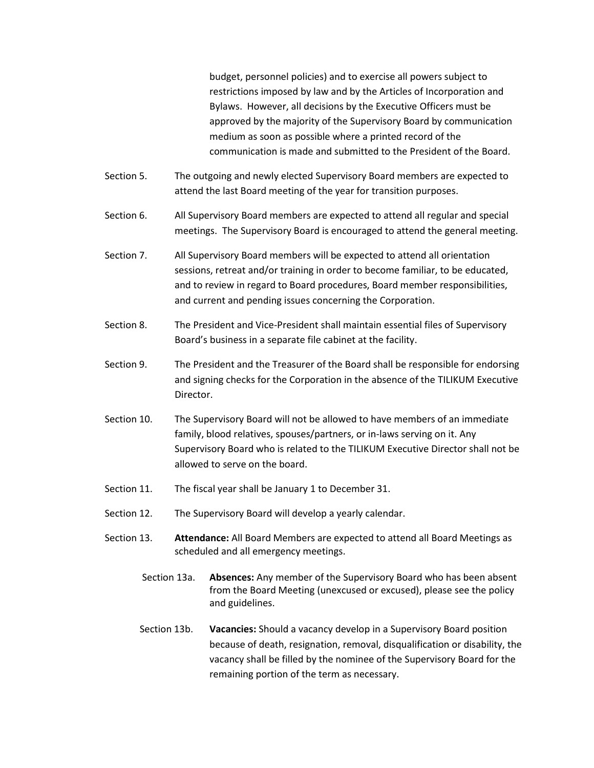budget, personnel policies) and to exercise all powers subject to restrictions imposed by law and by the Articles of Incorporation and Bylaws. However, all decisions by the Executive Officers must be approved by the majority of the Supervisory Board by communication medium as soon as possible where a printed record of the communication is made and submitted to the President of the Board.

- Section 5. The outgoing and newly elected Supervisory Board members are expected to attend the last Board meeting of the year for transition purposes.
- Section 6. All Supervisory Board members are expected to attend all regular and special meetings. The Supervisory Board is encouraged to attend the general meeting.
- Section 7. All Supervisory Board members will be expected to attend all orientation sessions, retreat and/or training in order to become familiar, to be educated, and to review in regard to Board procedures, Board member responsibilities, and current and pending issues concerning the Corporation.
- Section 8. The President and Vice-President shall maintain essential files of Supervisory Board's business in a separate file cabinet at the facility.
- Section 9. The President and the Treasurer of the Board shall be responsible for endorsing and signing checks for the Corporation in the absence of the TILIKUM Executive Director.
- Section 10. The Supervisory Board will not be allowed to have members of an immediate family, blood relatives, spouses/partners, or in-laws serving on it. Any Supervisory Board who is related to the TILIKUM Executive Director shall not be allowed to serve on the board.
- Section 11. The fiscal year shall be January 1 to December 31.
- Section 12. The Supervisory Board will develop a yearly calendar.
- Section 13. **Attendance:** All Board Members are expected to attend all Board Meetings as scheduled and all emergency meetings.
	- Section 13a. **Absences:** Any member of the Supervisory Board who has been absent from the Board Meeting (unexcused or excused), please see the policy and guidelines.
	- Section 13b. **Vacancies:** Should a vacancy develop in a Supervisory Board position because of death, resignation, removal, disqualification or disability, the vacancy shall be filled by the nominee of the Supervisory Board for the remaining portion of the term as necessary.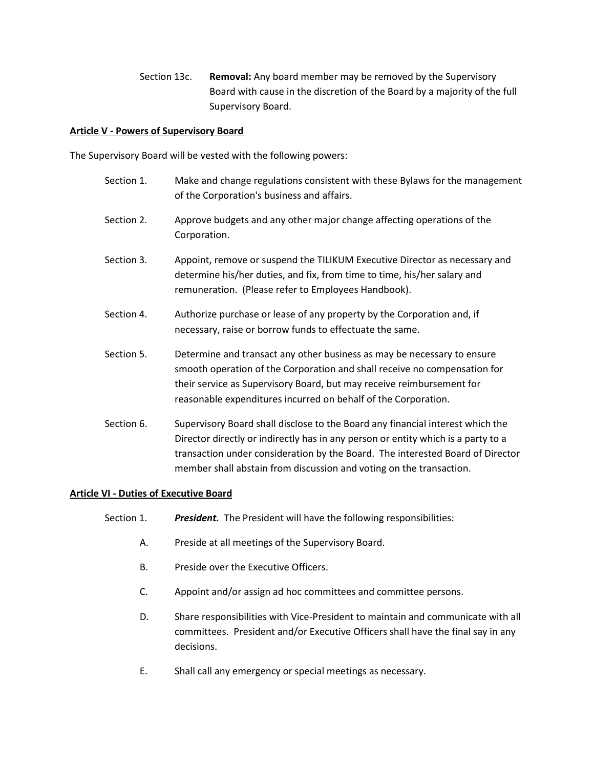Section 13c. **Removal:** Any board member may be removed by the Supervisory Board with cause in the discretion of the Board by a majority of the full Supervisory Board.

# **Article V - Powers of Supervisory Board**

The Supervisory Board will be vested with the following powers:

- Section 1. Make and change regulations consistent with these Bylaws for the management of the Corporation's business and affairs.
- Section 2. Approve budgets and any other major change affecting operations of the Corporation.
- Section 3. Appoint, remove or suspend the TILIKUM Executive Director as necessary and determine his/her duties, and fix, from time to time, his/her salary and remuneration. (Please refer to Employees Handbook).
- Section 4. Authorize purchase or lease of any property by the Corporation and, if necessary, raise or borrow funds to effectuate the same.
- Section 5. Determine and transact any other business as may be necessary to ensure smooth operation of the Corporation and shall receive no compensation for their service as Supervisory Board, but may receive reimbursement for reasonable expenditures incurred on behalf of the Corporation.
- Section 6. Supervisory Board shall disclose to the Board any financial interest which the Director directly or indirectly has in any person or entity which is a party to a transaction under consideration by the Board. The interested Board of Director member shall abstain from discussion and voting on the transaction.

# **Article VI - Duties of Executive Board**

- Section 1. *President.* The President will have the following responsibilities:
	- A. Preside at all meetings of the Supervisory Board.
	- B. Preside over the Executive Officers.
	- C. Appoint and/or assign ad hoc committees and committee persons.
	- D. Share responsibilities with Vice-President to maintain and communicate with all committees. President and/or Executive Officers shall have the final say in any decisions.
	- E. Shall call any emergency or special meetings as necessary.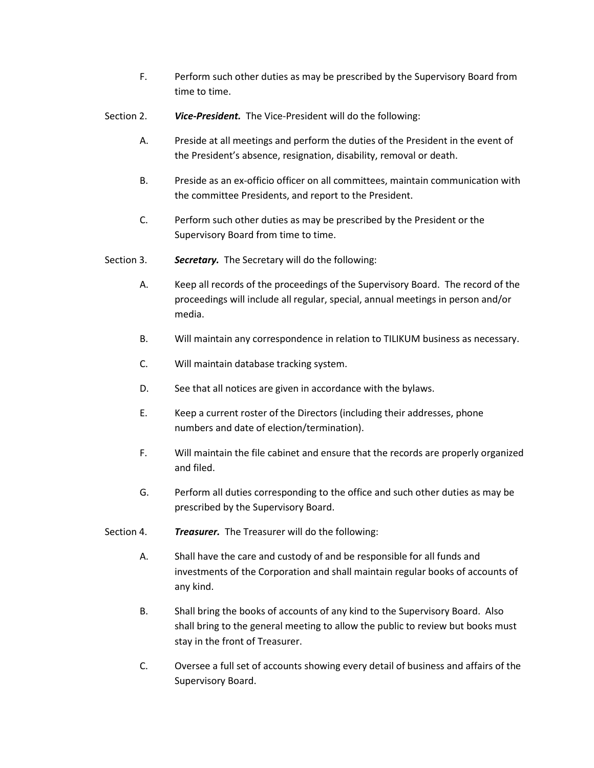- F. Perform such other duties as may be prescribed by the Supervisory Board from time to time.
- Section 2. *Vice-President.* The Vice-President will do the following:
	- A. Preside at all meetings and perform the duties of the President in the event of the President's absence, resignation, disability, removal or death.
	- B. Preside as an ex-officio officer on all committees, maintain communication with the committee Presidents, and report to the President.
	- C. Perform such other duties as may be prescribed by the President or the Supervisory Board from time to time.
- Section 3. *Secretary.* The Secretary will do the following:
	- A. Keep all records of the proceedings of the Supervisory Board. The record of the proceedings will include all regular, special, annual meetings in person and/or media.
	- B. Will maintain any correspondence in relation to TILIKUM business as necessary.
	- C. Will maintain database tracking system.
	- D. See that all notices are given in accordance with the bylaws.
	- E. Keep a current roster of the Directors (including their addresses, phone numbers and date of election/termination).
	- F. Will maintain the file cabinet and ensure that the records are properly organized and filed.
	- G. Perform all duties corresponding to the office and such other duties as may be prescribed by the Supervisory Board.
- Section 4. *Treasurer.* The Treasurer will do the following:
	- A. Shall have the care and custody of and be responsible for all funds and investments of the Corporation and shall maintain regular books of accounts of any kind.
	- B. Shall bring the books of accounts of any kind to the Supervisory Board. Also shall bring to the general meeting to allow the public to review but books must stay in the front of Treasurer.
	- C. Oversee a full set of accounts showing every detail of business and affairs of the Supervisory Board.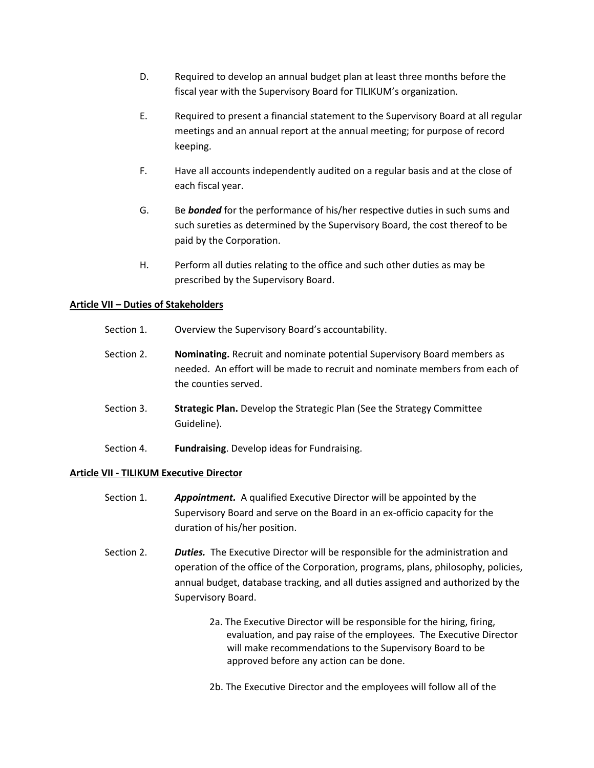- D. Required to develop an annual budget plan at least three months before the fiscal year with the Supervisory Board for TILIKUM's organization.
- E. Required to present a financial statement to the Supervisory Board at all regular meetings and an annual report at the annual meeting; for purpose of record keeping.
- F. Have all accounts independently audited on a regular basis and at the close of each fiscal year.
- G. Be *bonded* for the performance of his/her respective duties in such sums and such sureties as determined by the Supervisory Board, the cost thereof to be paid by the Corporation.
- H. Perform all duties relating to the office and such other duties as may be prescribed by the Supervisory Board.

# **Article VII – Duties of Stakeholders**

- Section 1. Overview the Supervisory Board's accountability.
- Section 2. **Nominating.** Recruit and nominate potential Supervisory Board members as needed. An effort will be made to recruit and nominate members from each of the counties served.
- Section 3. **Strategic Plan.** Develop the Strategic Plan (See the Strategy Committee Guideline).
- Section 4. **Fundraising**. Develop ideas for Fundraising.

### **Article VII - TILIKUM Executive Director**

- Section 1. *Appointment.* A qualified Executive Director will be appointed by the Supervisory Board and serve on the Board in an ex-officio capacity for the duration of his/her position.
- Section 2. *Duties.* The Executive Director will be responsible for the administration and operation of the office of the Corporation, programs, plans, philosophy, policies, annual budget, database tracking, and all duties assigned and authorized by the Supervisory Board.
	- 2a. The Executive Director will be responsible for the hiring, firing, evaluation, and pay raise of the employees. The Executive Director will make recommendations to the Supervisory Board to be approved before any action can be done.
	- 2b. The Executive Director and the employees will follow all of the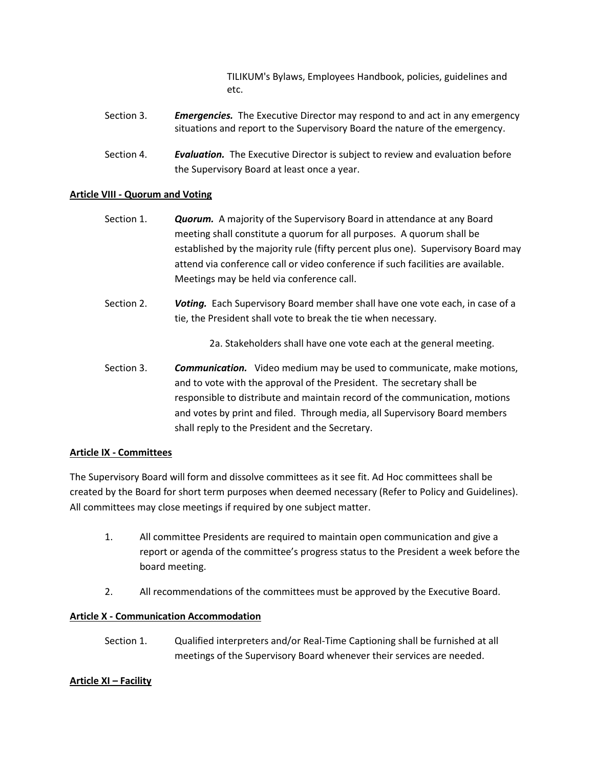TILIKUM's Bylaws, Employees Handbook, policies, guidelines and etc.

- Section 3. *Emergencies.* The Executive Director may respond to and act in any emergency situations and report to the Supervisory Board the nature of the emergency.
- Section 4. *Evaluation.* The Executive Director is subject to review and evaluation before the Supervisory Board at least once a year.

# **Article VIII - Quorum and Voting**

- Section 1. *Quorum.* A majority of the Supervisory Board in attendance at any Board meeting shall constitute a quorum for all purposes. A quorum shall be established by the majority rule (fifty percent plus one). Supervisory Board may attend via conference call or video conference if such facilities are available. Meetings may be held via conference call.
- Section 2. *Voting.* Each Supervisory Board member shall have one vote each, in case of a tie, the President shall vote to break the tie when necessary.

2a. Stakeholders shall have one vote each at the general meeting.

Section 3. *Communication.* Video medium may be used to communicate, make motions, and to vote with the approval of the President. The secretary shall be responsible to distribute and maintain record of the communication, motions and votes by print and filed. Through media, all Supervisory Board members shall reply to the President and the Secretary.

# **Article IX - Committees**

The Supervisory Board will form and dissolve committees as it see fit. Ad Hoc committees shall be created by the Board for short term purposes when deemed necessary (Refer to Policy and Guidelines). All committees may close meetings if required by one subject matter.

- 1. All committee Presidents are required to maintain open communication and give a report or agenda of the committee's progress status to the President a week before the board meeting.
- 2. All recommendations of the committees must be approved by the Executive Board.

# **Article X - Communication Accommodation**

Section 1. Qualified interpreters and/or Real-Time Captioning shall be furnished at all meetings of the Supervisory Board whenever their services are needed.

# **Article XI – Facility**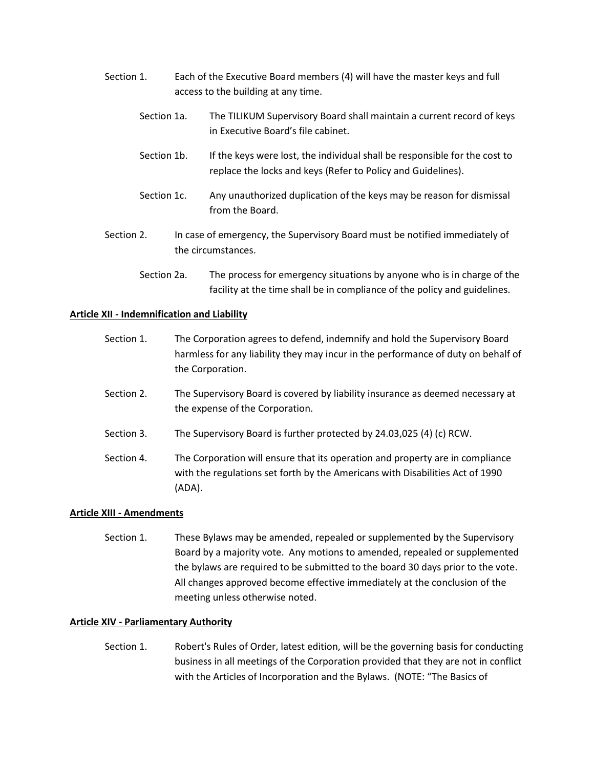- Section 1. Each of the Executive Board members (4) will have the master keys and full access to the building at any time.
	- Section 1a. The TILIKUM Supervisory Board shall maintain a current record of keys in Executive Board's file cabinet.
	- Section 1b. If the keys were lost, the individual shall be responsible for the cost to replace the locks and keys (Refer to Policy and Guidelines).
	- Section 1c. Any unauthorized duplication of the keys may be reason for dismissal from the Board.
- Section 2. In case of emergency, the Supervisory Board must be notified immediately of the circumstances.
	- Section 2a. The process for emergency situations by anyone who is in charge of the facility at the time shall be in compliance of the policy and guidelines.

# **Article XII - Indemnification and Liability**

- Section 1. The Corporation agrees to defend, indemnify and hold the Supervisory Board harmless for any liability they may incur in the performance of duty on behalf of the Corporation.
- Section 2. The Supervisory Board is covered by liability insurance as deemed necessary at the expense of the Corporation.
- Section 3. The Supervisory Board is further protected by 24.03,025 (4) (c) RCW.
- Section 4. The Corporation will ensure that its operation and property are in compliance with the regulations set forth by the Americans with Disabilities Act of 1990 (ADA).

### **Article XIII - Amendments**

Section 1. These Bylaws may be amended, repealed or supplemented by the Supervisory Board by a majority vote. Any motions to amended, repealed or supplemented the bylaws are required to be submitted to the board 30 days prior to the vote. All changes approved become effective immediately at the conclusion of the meeting unless otherwise noted.

### **Article XIV - Parliamentary Authority**

Section 1. Robert's Rules of Order, latest edition, will be the governing basis for conducting business in all meetings of the Corporation provided that they are not in conflict with the Articles of Incorporation and the Bylaws. (NOTE: "The Basics of